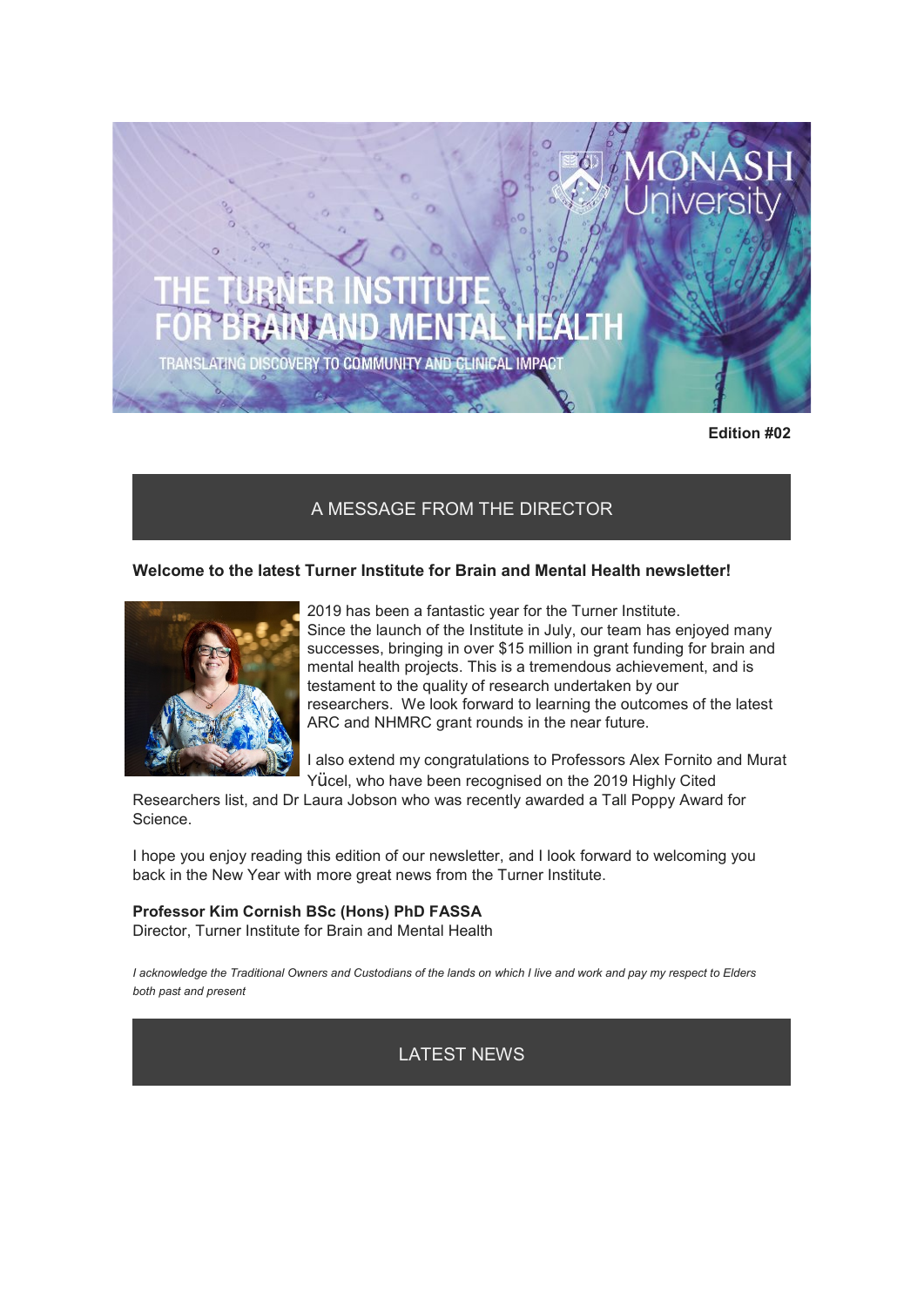TRANSLATING DISCOVERY TO COMMUNITY AND CLINICAL IMPACT

**Edition #02**

### A MESSAGE FROM THE DIRECTOR

### **Welcome to the latest Turner Institute for Brain and Mental Health newsletter!**



2019 has been a fantastic year for the Turner Institute. Since the launch of the Institute in July, our team has enjoyed many successes, bringing in over \$15 million in grant funding for brain and mental health projects. This is a tremendous achievement, and is testament to the quality of research undertaken by our researchers. We look forward to learning the outcomes of the latest ARC and NHMRC grant rounds in the near future.

I also extend my congratulations to Professors Alex Fornito and Murat

Yücel, who have been recognised on the 2019 Highly Cited

Researchers list, and Dr Laura Jobson who was recently awarded a Tall Poppy Award for Science.

I hope you enjoy reading this edition of our newsletter, and I look forward to welcoming you back in the New Year with more great news from the Turner Institute.

#### **Professor Kim Cornish BSc (Hons) PhD FASSA**

Director, Turner Institute for Brain and Mental Health

*I acknowledge the Traditional Owners and Custodians of the lands on which I live and work and pay my respect to Elders both past and present*

LATEST NEWS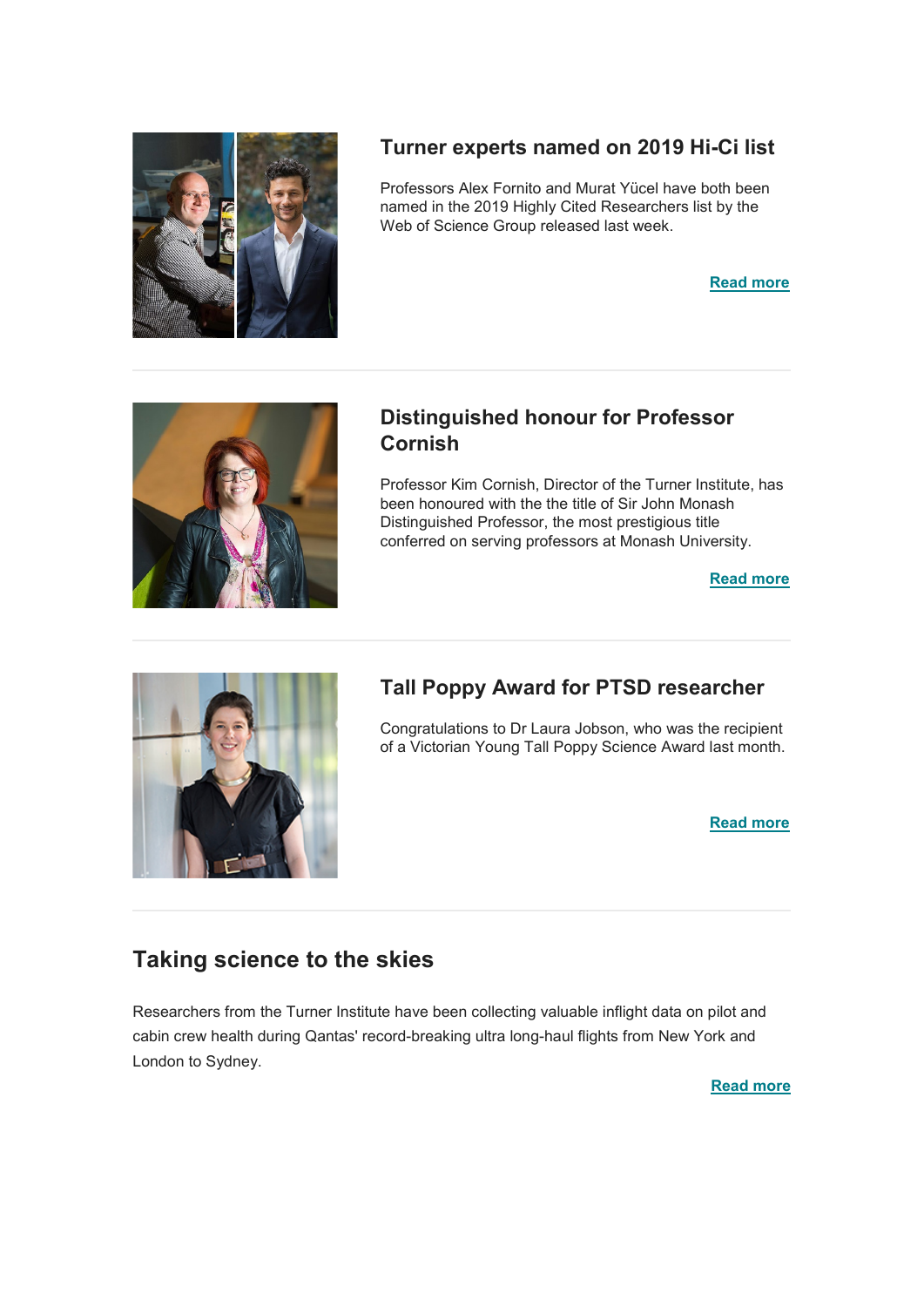

# **Turner experts named on 2019 Hi-Ci list**

Professors Alex Fornito and Murat Yücel have both been named in the 2019 Highly Cited Researchers list by the Web of Science Group released last week.

**[Read more](https://www.monash.edu/turner-institute/news-and-events/latest-news/2019-articles/turner-experts-named-on-2019-hi-ci-list)**



# **Distinguished honour for Professor Cornish**

Professor Kim Cornish, Director of the Turner Institute, has been honoured with the the title of Sir John Monash Distinguished Professor, the most prestigious title conferred on serving professors at Monash University.

**[Read more](https://www.monash.edu/turner-institute/news-and-events/latest-news/2019-articles/professor-kim-cornish-announced-as-a-sir-john-monash-distinguished-professor)**



# **Tall Poppy Award for PTSD researcher**

Congratulations to Dr Laura Jobson, who was the recipient of a Victorian Young Tall Poppy Science Award last month.

**[Read more](https://www.monash.edu/turner-institute/news-and-events/latest-news/2019-articles/tall-poppy-award-for-turner-researcher)**

# **Taking science to the skies**

Researchers from the Turner Institute have been collecting valuable inflight data on pilot and cabin crew health during Qantas' record-breaking ultra long-haul flights from New York and London to Sydney.

**[Read more](https://www.monash.edu/turner-institute/news-and-events/latest-news/2019-articles/sleep-researchers-take-science-to-the-skies)**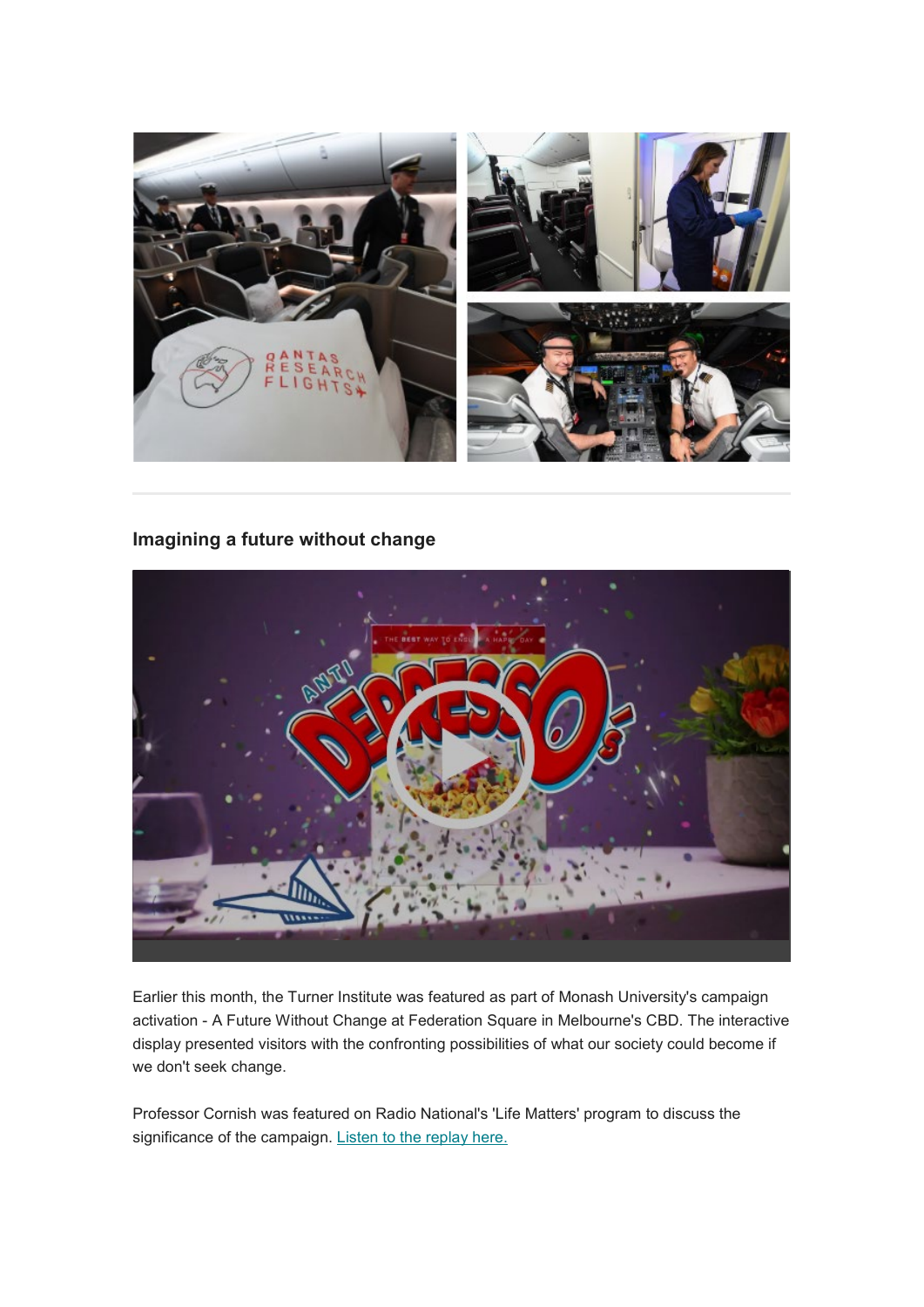

## **Imagining a future without change**



Earlier this month, the Turner Institute was featured as part of Monash University's campaign activation - A Future Without Change at Federation Square in Melbourne's CBD. The interactive display presented visitors with the confronting possibilities of what our society could become if we don't seek change.

Professor Cornish was featured on Radio National's 'Life Matters' program to discuss the significance of the campaign. [Listen to the replay here.](https://www.abc.net.au/radionational/programs/lifematters/using-our-own-sense-of-doom-to-effect-change/11729302)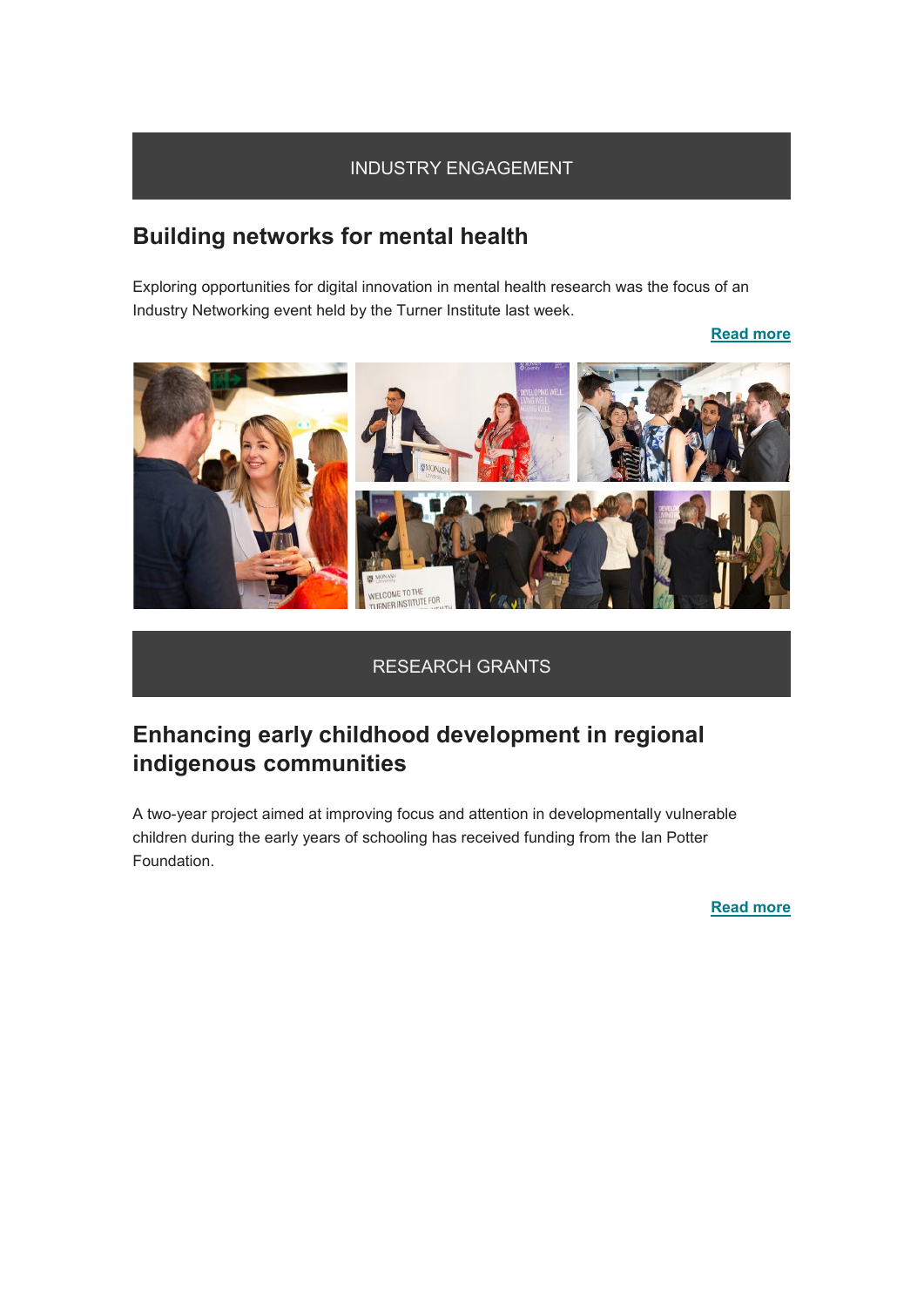### INDUSTRY ENGAGEMENT

# **Building networks for mental health**

Exploring opportunities for digital innovation in mental health research was the focus of an Industry Networking event held by the Turner Institute last week.

### **[Read more](https://www.monash.edu/turner-institute/news-and-events/latest-news/2019-articles/building-networks-for-mental-health)**



### RESEARCH GRANTS

# **Enhancing early childhood development in regional indigenous communities**

A two-year project aimed at improving focus and attention in developmentally vulnerable children during the early years of schooling has received funding from the Ian Potter Foundation.

**[Read more](https://www.monash.edu/turner-institute/news-and-events/latest-news/2019-articles/enhancing-early-childhood-development-in-regional-indigenous-communities)**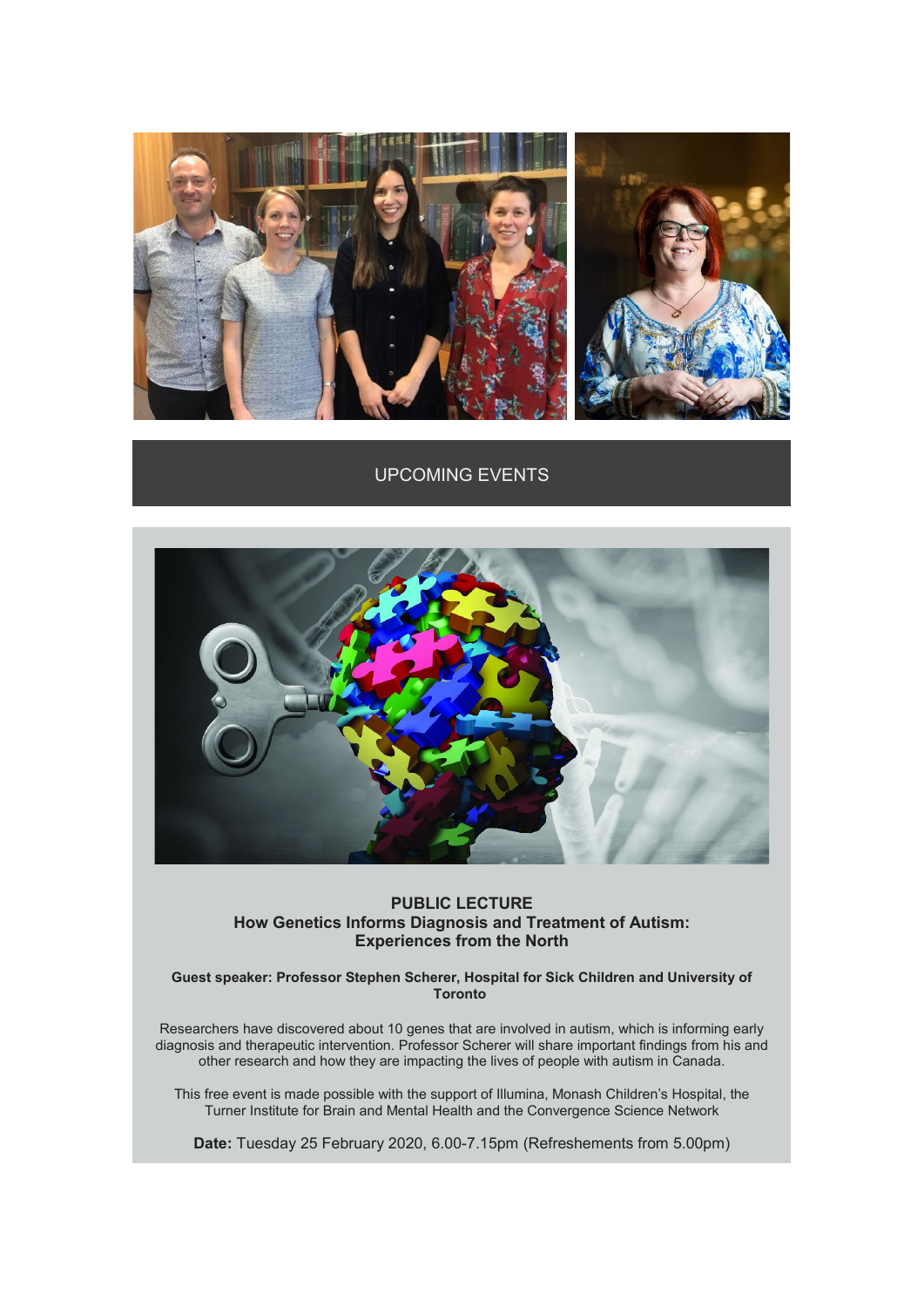

### UPCOMING EVENTS



#### **PUBLIC LECTURE How Genetics Informs Diagnosis and Treatment of Autism: Experiences from the North**

**Guest speaker: Professor Stephen Scherer, Hospital for Sick Children and University of Toronto**

Researchers have discovered about 10 genes that are involved in autism, which is informing early diagnosis and therapeutic intervention. Professor Scherer will share important findings from his and other research and how they are impacting the lives of people with autism in Canada.

This free event is made possible with the support of Illumina, Monash Children's Hospital, the Turner Institute for Brain and Mental Health and the Convergence Science Network

**Date:** Tuesday 25 February 2020, 6.00-7.15pm (Refreshements from 5.00pm)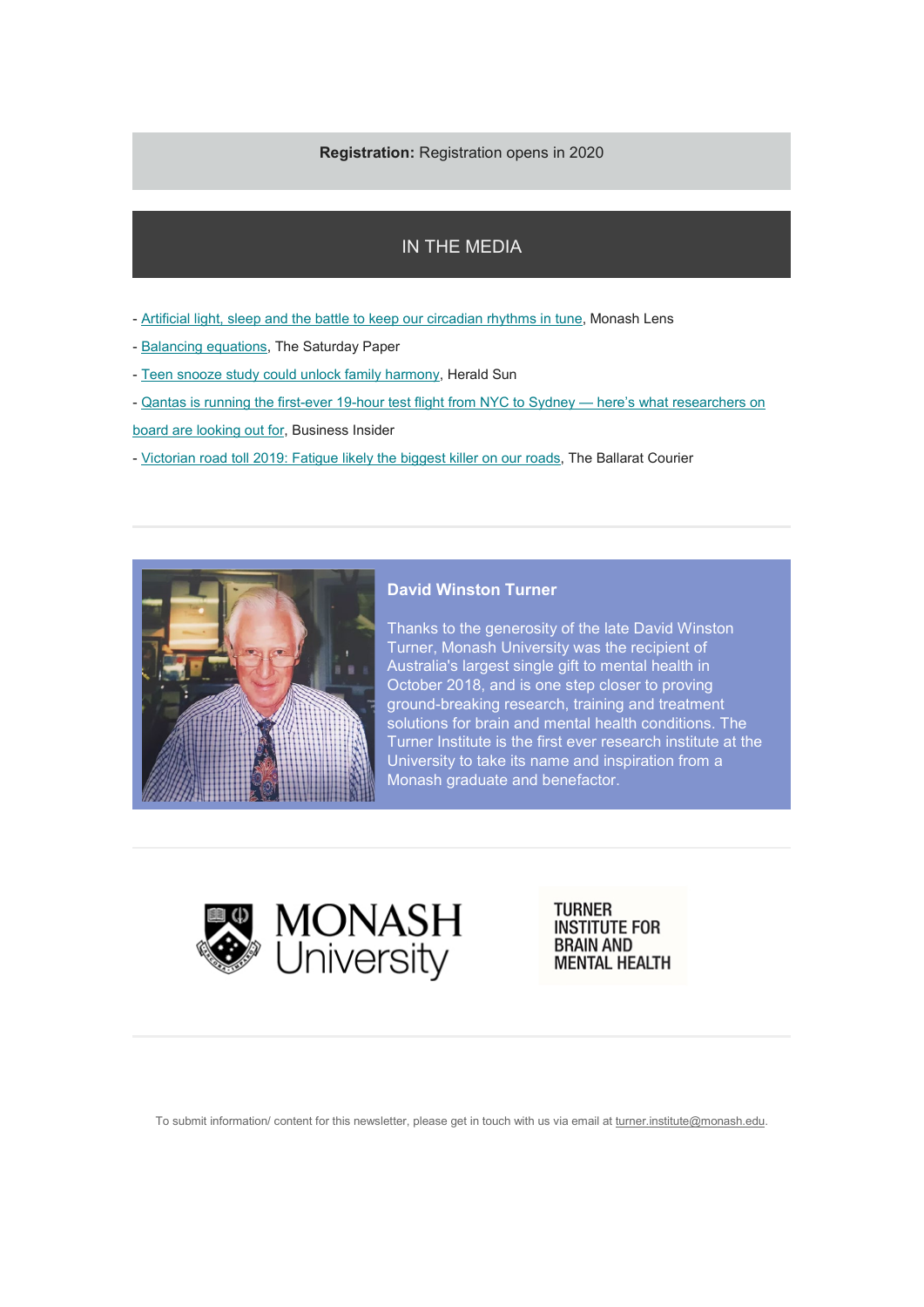#### **Registration:** Registration opens in 2020

### IN THE MEDIA

- [Artificial light, sleep and the battle to keep our circadian rhythms in tune,](https://lens.monash.edu/@medicine-health/2019/11/05/1377503/the-battle-to-keep-our-circadian-rhythms-in-tune) Monash Lens
- [Balancing equations,](https://drive.google.com/file/d/0B1XBjcTzpPlLWkNBYkdCQVhXVHhqaDBCOE4tamdDU3Q2M0JN/view?usp=sharing) The Saturday Paper
- [Teen snooze study could unlock family harmony,](https://www.heraldsun.com.au/education/teen-snooze-study-could-unlock-family-harmony/news-story/843bc4f7c2a751fc43f2ef47b0632a0c?btr=269f12133d12017acb914451da5a273e) Herald Sun
- [Qantas is running the first-ever 19-hour test flight from NYC to Sydney here's what researchers on](https://www.businessinsider.com/qantas-researcher-longest-commercial-test-flight-looking-for-2019-10/?r=AU&IR=T)

[board are looking out for,](https://www.businessinsider.com/qantas-researcher-longest-commercial-test-flight-looking-for-2019-10/?r=AU&IR=T) Business Insider

- [Victorian road toll 2019: Fatigue likely the biggest killer on our roads,](https://www.thecourier.com.au/story/6431331/shock-results-show-fatigue-the-likely-biggest-killer-on-our-roads/) The Ballarat Courier



#### **David Winston Turner**

Thanks to the generosity of the late David Winston Turner, Monash University was the recipient of Australia's largest single gift to mental health in October 2018, and is one step closer to proving ground-breaking research, training and treatment solutions for brain and mental health conditions. The Turner Institute is the first ever research institute at the University to take its name and inspiration from a Monash graduate and benefactor.



**TURNER INSTITUTE FOR BRAIN AND MENTAL HEALTH** 

To submit information/ content for this newsletter, please get in touch with us via email at [turner.institute@monash.edu.](mailto:turner.institute@monash.edu?subject=Newsletter)